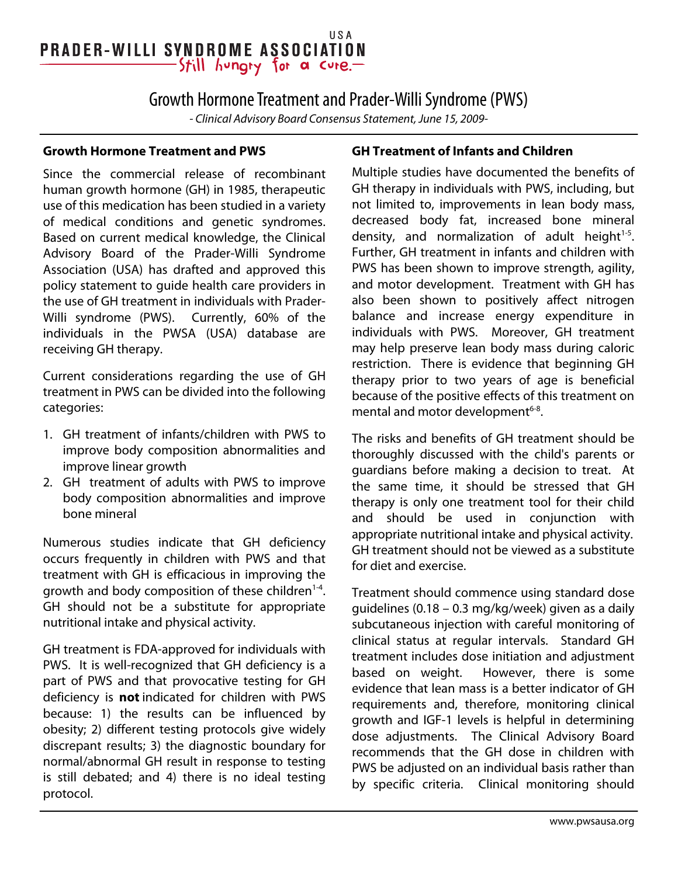#### USA **PRADER-WILLI SYNDROME ASSOCIATION** -Still hungry for a cure.-

## Growth Hormone Treatment and Prader-Willi Syndrome (PWS)

- Clinical Advisory Board Consensus Statement, June 15, 2009-

#### **Growth Hormone Treatment and PWS**

Since the commercial release of recombinant human growth hormone (GH) in 1985, therapeutic use of this medication has been studied in a variety of medical conditions and genetic syndromes. Based on current medical knowledge, the Clinical Advisory Board of the Prader-Willi Syndrome Association (USA) has drafted and approved this policy statement to guide health care providers in the use of GH treatment in individuals with Prader-Willi syndrome (PWS). Currently, 60% of the individuals in the PWSA (USA) database are receiving GH therapy.

Current considerations regarding the use of GH treatment in PWS can be divided into the following categories:

- 1. GH treatment of infants/children with PWS to improve body composition abnormalities and improve linear growth
- 2. GH treatment of adults with PWS to improve body composition abnormalities and improve bone mineral

Numerous studies indicate that GH deficiency occurs frequently in children with PWS and that treatment with GH is efficacious in improving the growth and body composition of these children $1-4$ . GH should not be a substitute for appropriate nutritional intake and physical activity.

GH treatment is FDA-approved for individuals with PWS. It is well-recognized that GH deficiency is a part of PWS and that provocative testing for GH deficiency is **not** indicated for children with PWS because: 1) the results can be influenced by obesity; 2) different testing protocols give widely discrepant results; 3) the diagnostic boundary for normal/abnormal GH result in response to testing is still debated; and 4) there is no ideal testing protocol.

### **GH Treatment of Infants and Children**

Multiple studies have documented the benefits of GH therapy in individuals with PWS, including, but not limited to, improvements in lean body mass, decreased body fat, increased bone mineral density, and normalization of adult height<sup>1-5</sup>. Further, GH treatment in infants and children with PWS has been shown to improve strength, agility, and motor development. Treatment with GH has also been shown to positively affect nitrogen balance and increase energy expenditure in individuals with PWS. Moreover, GH treatment may help preserve lean body mass during caloric restriction. There is evidence that beginning GH therapy prior to two years of age is beneficial because of the positive effects of this treatment on mental and motor development<sup>6-8</sup>.

The risks and benefits of GH treatment should be thoroughly discussed with the child's parents or guardians before making a decision to treat. At the same time, it should be stressed that GH therapy is only one treatment tool for their child and should be used in conjunction with appropriate nutritional intake and physical activity. GH treatment should not be viewed as a substitute for diet and exercise.

Treatment should commence using standard dose guidelines (0.18 – 0.3 mg/kg/week) given as a daily subcutaneous injection with careful monitoring of clinical status at regular intervals. Standard GH treatment includes dose initiation and adjustment based on weight. However, there is some evidence that lean mass is a better indicator of GH requirements and, therefore, monitoring clinical growth and IGF-1 levels is helpful in determining dose adjustments. The Clinical Advisory Board recommends that the GH dose in children with PWS be adjusted on an individual basis rather than by specific criteria. Clinical monitoring should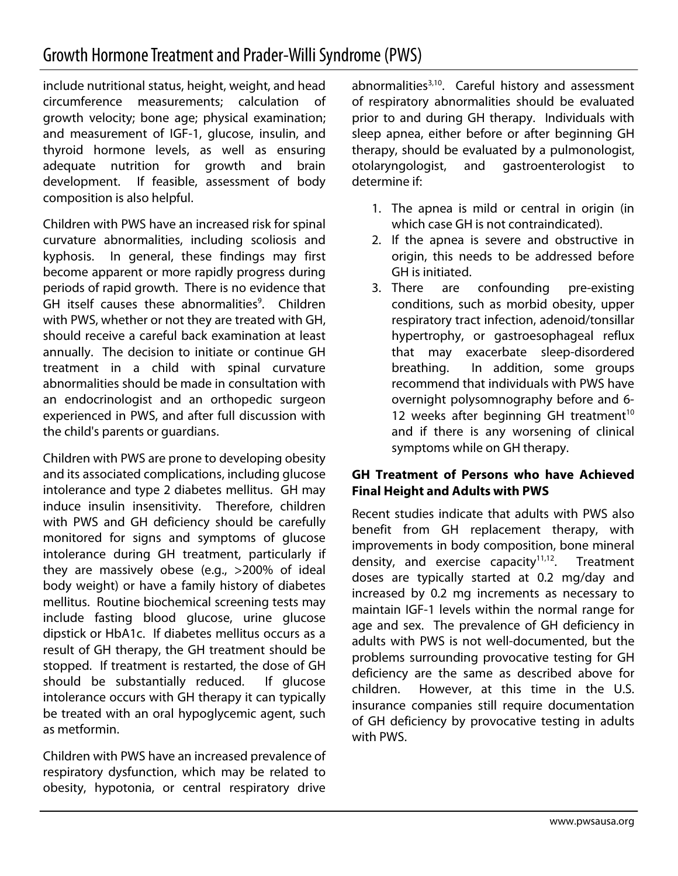include nutritional status, height, weight, and head circumference measurements; calculation of growth velocity; bone age; physical examination; and measurement of IGF-1, glucose, insulin, and thyroid hormone levels, as well as ensuring adequate nutrition for growth and brain development. If feasible, assessment of body composition is also helpful.

Children with PWS have an increased risk for spinal curvature abnormalities, including scoliosis and kyphosis. In general, these findings may first become apparent or more rapidly progress during periods of rapid growth. There is no evidence that GH itself causes these abnormalities<sup>9</sup>. Children with PWS, whether or not they are treated with GH, should receive a careful back examination at least annually. The decision to initiate or continue GH treatment in a child with spinal curvature abnormalities should be made in consultation with an endocrinologist and an orthopedic surgeon experienced in PWS, and after full discussion with the child's parents or guardians.

Children with PWS are prone to developing obesity and its associated complications, including glucose intolerance and type 2 diabetes mellitus. GH may induce insulin insensitivity. Therefore, children with PWS and GH deficiency should be carefully monitored for signs and symptoms of glucose intolerance during GH treatment, particularly if they are massively obese (e.g., >200% of ideal body weight) or have a family history of diabetes mellitus. Routine biochemical screening tests may include fasting blood glucose, urine glucose dipstick or HbA1c. If diabetes mellitus occurs as a result of GH therapy, the GH treatment should be stopped. If treatment is restarted, the dose of GH should be substantially reduced. If glucose intolerance occurs with GH therapy it can typically be treated with an oral hypoglycemic agent, such as metformin.

Children with PWS have an increased prevalence of respiratory dysfunction, which may be related to obesity, hypotonia, or central respiratory drive

abnormalities $3,10$ . Careful history and assessment of respiratory abnormalities should be evaluated prior to and during GH therapy. Individuals with sleep apnea, either before or after beginning GH therapy, should be evaluated by a pulmonologist, otolaryngologist, and gastroenterologist to determine if:

- 1. The apnea is mild or central in origin (in which case GH is not contraindicated).
- 2. If the apnea is severe and obstructive in origin, this needs to be addressed before GH is initiated.
- 3. There are confounding pre-existing conditions, such as morbid obesity, upper respiratory tract infection, adenoid/tonsillar hypertrophy, or gastroesophageal reflux that may exacerbate sleep-disordered breathing. In addition, some groups recommend that individuals with PWS have overnight polysomnography before and 6- 12 weeks after beginning GH treatment<sup>10</sup> and if there is any worsening of clinical symptoms while on GH therapy.

### **GH Treatment of Persons who have Achieved Final Height and Adults with PWS**

Recent studies indicate that adults with PWS also benefit from GH replacement therapy, with improvements in body composition, bone mineral density, and exercise capacity $11,12$ . Treatment doses are typically started at 0.2 mg/day and increased by 0.2 mg increments as necessary to maintain IGF-1 levels within the normal range for age and sex. The prevalence of GH deficiency in adults with PWS is not well-documented, but the problems surrounding provocative testing for GH deficiency are the same as described above for children. However, at this time in the U.S. insurance companies still require documentation of GH deficiency by provocative testing in adults with PWS.